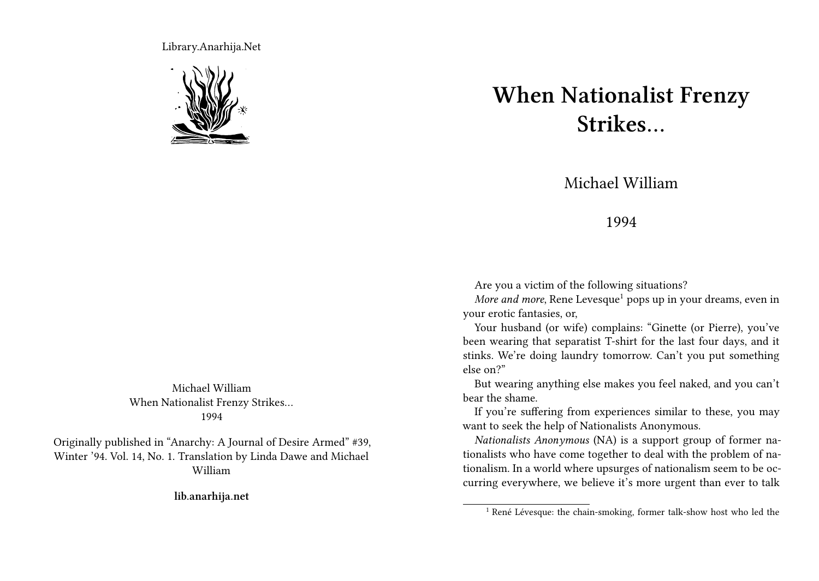Library.Anarhija.Net



Michael William When Nationalist Frenzy Strikes… 1994

Originally published in "Anarchy: A Journal of Desire Armed" #39, Winter '94. Vol. 14, No. 1. Translation by Linda Dawe and Michael William

**lib.anarhija.net**

## **When Nationalist Frenzy Strikes…**

Michael William

1994

Are you a victim of the following situations?

*More and more*, Rene Levesque<sup>1</sup> pops up in your dreams, even in your erotic fantasies, or,

Your husband (or wife) complains: "Ginette (or Pierre), you've been wearing that separatist T-shirt for the last four days, and it stinks. We're doing laundry tomorrow. Can't you put something else on?"

But wearing anything else makes you feel naked, and you can't bear the shame.

If you're suffering from experiences similar to these, you may want to seek the help of Nationalists Anonymous.

*Nationalists Anonymous* (NA) is a support group of former nationalists who have come together to deal with the problem of nationalism. In a world where upsurges of nationalism seem to be occurring everywhere, we believe it's more urgent than ever to talk

<sup>&</sup>lt;sup>1</sup> René Lévesque: the chain-smoking, former talk-show host who led the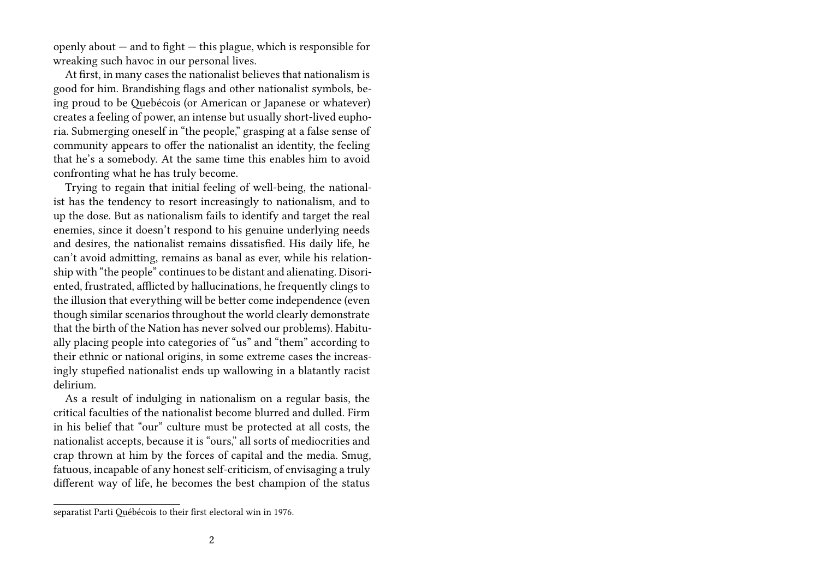openly about  $-$  and to fight  $-$  this plague, which is responsible for wreaking such havoc in our personal lives.

At first, in many cases the nationalist believes that nationalism is good for him. Brandishing flags and other nationalist symbols, being proud to be Quebécois (or American or Japanese or whatever) creates a feeling of power, an intense but usually short-lived euphoria. Submerging oneself in "the people," grasping at a false sense of community appears to offer the nationalist an identity, the feeling that he's a somebody. At the same time this enables him to avoid confronting what he has truly become.

Trying to regain that initial feeling of well-being, the nationalist has the tendency to resort increasingly to nationalism, and to up the dose. But as nationalism fails to identify and target the real enemies, since it doesn't respond to his genuine underlying needs and desires, the nationalist remains dissatisfied. His daily life, he can't avoid admitting, remains as banal as ever, while his relationship with "the people" continues to be distant and alienating. Disoriented, frustrated, afflicted by hallucinations, he frequently clings to the illusion that everything will be better come independence (even though similar scenarios throughout the world clearly demonstrate that the birth of the Nation has never solved our problems). Habitually placing people into categories of "us" and "them" according to their ethnic or national origins, in some extreme cases the increasingly stupefied nationalist ends up wallowing in a blatantly racist delirium.

As a result of indulging in nationalism on a regular basis, the critical faculties of the nationalist become blurred and dulled. Firm in his belief that "our" culture must be protected at all costs, the nationalist accepts, because it is "ours," all sorts of mediocrities and crap thrown at him by the forces of capital and the media. Smug, fatuous, incapable of any honest self-criticism, of envisaging a truly different way of life, he becomes the best champion of the status

separatist Parti Québécois to their first electoral win in 1976.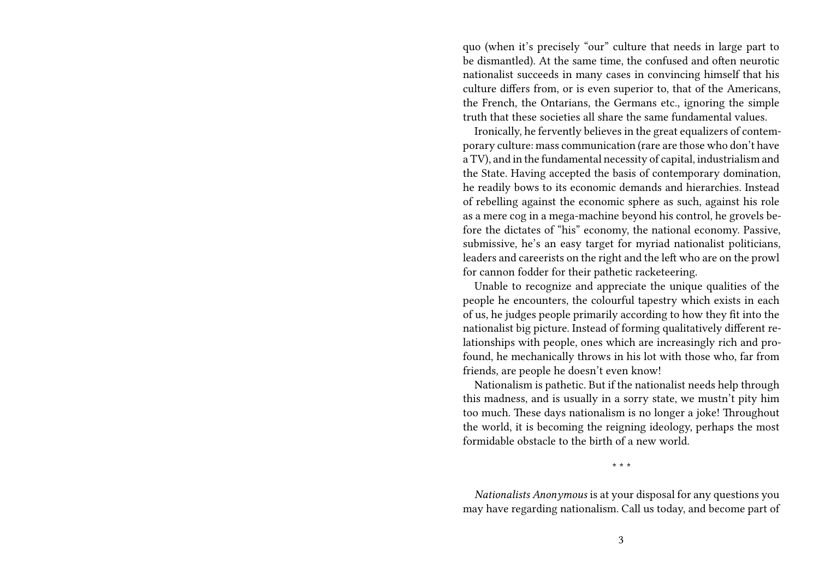quo (when it's precisely "our" culture that needs in large part to be dismantled). At the same time, the confused and often neurotic nationalist succeeds in many cases in convincing himself that his culture differs from, or is even superior to, that of the Americans, the French, the Ontarians, the Germans etc., ignoring the simple truth that these societies all share the same fundamental values.

Ironically, he fervently believes in the great equalizers of contemporary culture: mass communication (rare are those who don't have a TV), and in the fundamental necessity of capital, industrialism and the State. Having accepted the basis of contemporary domination, he readily bows to its economic demands and hierarchies. Instead of rebelling against the economic sphere as such, against his role as a mere cog in a mega-machine beyond his control, he grovels before the dictates of "his" economy, the national economy. Passive, submissive, he's an easy target for myriad nationalist politicians, leaders and careerists on the right and the left who are on the prowl for cannon fodder for their pathetic racketeering.

Unable to recognize and appreciate the unique qualities of the people he encounters, the colourful tapestry which exists in each of us, he judges people primarily according to how they fit into the nationalist big picture. Instead of forming qualitatively different relationships with people, ones which are increasingly rich and profound, he mechanically throws in his lot with those who, far from friends, are people he doesn't even know!

Nationalism is pathetic. But if the nationalist needs help through this madness, and is usually in a sorry state, we mustn't pity him too much. These days nationalism is no longer a joke! Throughout the world, it is becoming the reigning ideology, perhaps the most formidable obstacle to the birth of a new world.

\* \* \*

*Nationalists Anonymous* is at your disposal for any questions you may have regarding nationalism. Call us today, and become part of